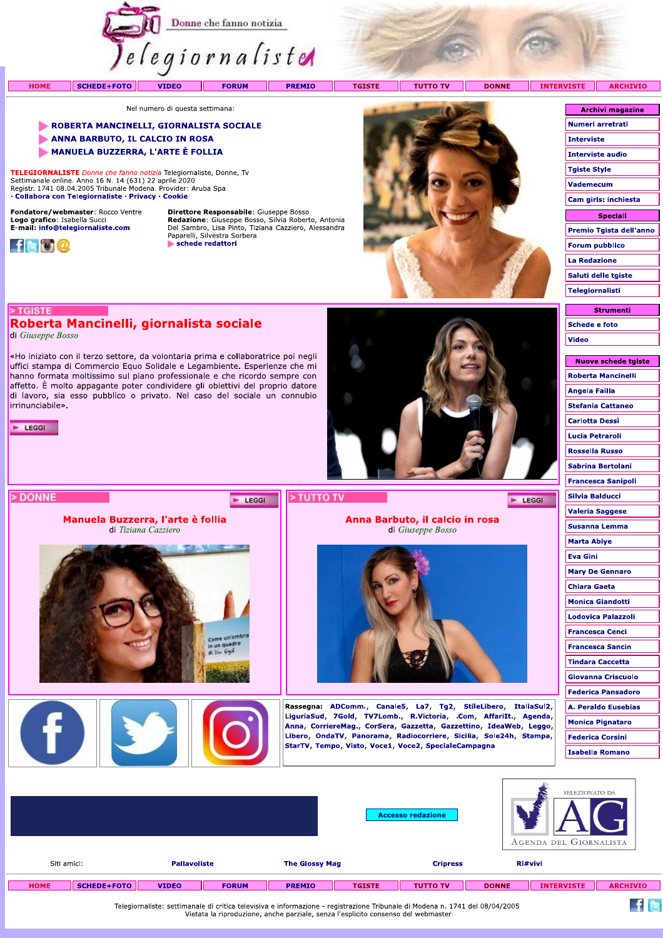

**FORUM** 

**PREMIO** 

**TGISTE** - 11 **TUTTO TV**  **INTER** 

**DONNE** 

Nel numero di questa settimana:

**VIDEO** 

## ROBERTA MANCINELLI, GIORNALISTA SOCIALE

- ANNA BARBUTO, IL CALCIO IN ROSA
- MANUELA BUZZERRA, L'ARTE È FOLLIA

TELEGIORNALISTE Donne che fanno notizia Telegiornaliste, Donne, Tv Settimanale online. Anno 16 N. 14 (631) 22 aprile 2020<br>Registr. 1741 08.04.2005 Tribunale Modena. Provider: Aruba Spa · Collabora con Telegiornaliste · Privacy · Cookie

Roberta Mancinelli, giornalista sociale

Manuela Buzzerra, l'arte è follia di Tiziana Cazziero

«Ho iniziato con il terzo settore, da volontaria prima e collaboratrice poi negli uffici stampa di Commercio Equo Solidale e Legambiente. Esperienze che mi hanno formata moltissimo sul piano professionale e che ricordo sempre con affetto. È molto appagante poter condividere gli obiettivi del proprio datore di lavoro, sia esso pubblico o privato. Nel caso del sociale un connubio

Fondatore/webmaster: Rocco Ventre Logo grafico: Isabella Succi<br>E-mail: info@telegiornaliste.com



> TGISTE

di Giuseppe Bosso

irrinunciabile».

 $\blacktriangleright$  LEGGI

> DONNE

**HOME** 

Direttore Responsabile: Giuseppe Bosso **Redazione:** Giuseppe Bosso, Silvia Roberto, Antonia<br>Del Sambro, Lisa Pinto, Tiziana Cazziero, Alessandra<br>Paparelli, Silvestra Sorbera schede redattori

E LEGGI



Anna Barbuto, il calcio in rosa

di Giuseppe Bosso

Rassegna: ADComm., Canale5, La7, Tg2, StileLibero, ItaliaSul2, LiguriaSud, 7Gold, TV7Lomb., R.Victoria, .Com, AffariIt., Agenda,

Anna, CorriereMag., CorSera, Gazzetta, Gazzettino, IdeaWeb, Leggo, Libero, OndaTV, Panorama, Radiocorriere, Sicilia, Sole24h, Stampa,

StarTV, Tempo, Visto, Voce1, Voce2, SpecialeCampagna

| 715 I E<br><b>ARCHIVIO</b> |
|----------------------------|
|                            |
| <b>Archivi magazine</b>    |
| Numeri arretrati           |
| <b>Interviste</b>          |
| <b>Interviste audio</b>    |
| <b>Tgiste Style</b>        |
| <b>Vademecum</b>           |
| Cam girls: inchiesta       |
| <b>Speciali</b>            |
| Premio Tgista dell'anno    |
| <b>Forum pubblico</b>      |
| La Redazione               |
| Saluti delle tgiste        |
| Telegiornalisti            |

**Strumenti Schede e foto Video** 

| Nuove schede tgiste       |
|---------------------------|
| Roberta Mancinelli        |
| Angela Failla             |
| <b>Stefania Cattaneo</b>  |
| Carlotta Dessì            |
| Lucia Petraroli           |
| <b>Rossella Russo</b>     |
| <b>Sabrina Bertolani</b>  |
| Francesca Sanipoli        |
| Silvia Balducci           |
| <b>Valeria Saggese</b>    |
| Susanna Lemma             |
| Marta Abiye               |
| <b>Eva Gini</b>           |
| <b>Mary De Gennaro</b>    |
| <b>Chiara Gaeta</b>       |
| <b>Monica Giandotti</b>   |
| Lodovica Palazzoli        |
| Francesca Cenci           |
| <b>Francesca Sancin</b>   |
| <b>Tindara Caccetta</b>   |
| Giovanna Criscuolo        |
| <b>Federica Pansadoro</b> |
| A. Peraldo Eusebias       |
| Monica Pignataro          |
| <b>Federica Corsini</b>   |
| <b>Isabella Romano</b>    |
|                           |

 $f$  is

 $\blacktriangleright$  LEGGI

|                                   |                     |              |                       |               | <b>Accesso redazione</b> |              | SELEZIONATO DA<br>AGENDA DEL GIORNALISTA |                 |
|-----------------------------------|---------------------|--------------|-----------------------|---------------|--------------------------|--------------|------------------------------------------|-----------------|
| Siti amici:                       | <b>Pallavoliste</b> |              | <b>The Glossy Mag</b> |               | <b>Cripress</b>          |              | Ri#vivi                                  |                 |
| <b>SCHEDE+FOTO</b><br><b>HOME</b> | <b>VIDEO</b>        | <b>FORUM</b> | <b>PREMIO</b>         | <b>TGISTE</b> | <b>TUTTO TV</b>          | <b>DONNE</b> | <b>INTERVISTE</b>                        | <b>ARCHIVIO</b> |

> TUTTO TV

Telegiornaliste: settimanale di critica televisiva e informazione - registrazione Tribunale di Modena n. 1741 del 08/04/2005<br>Vietata la riproduzione, anche parziale, senza l'esplicito consenso del webmaster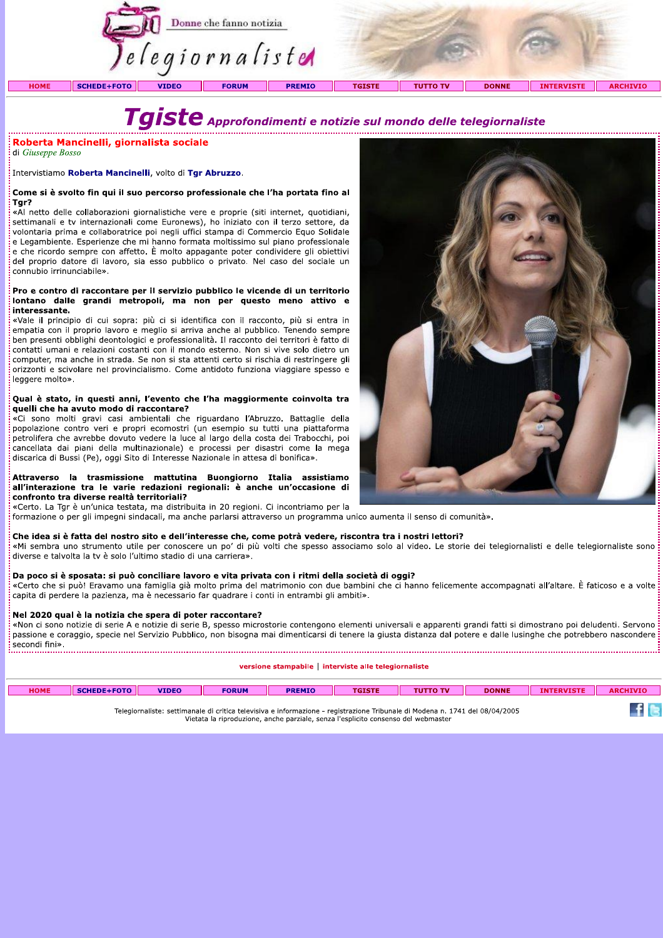

di Giuseppe Bosso

# Tgr?

**Properties Continuos**<br> **Continuos**<br> **Continuos**<br>
Intervistiamo Roberta Mancinelli, volto di Ty<br>
Intervistiamo Roberta Mancinelli, volto di Ty<br> **Cone si è svolto fin qui il suo percorso propertivale di Settimanali e tv** in 2\*(\*KLL'M 'N)3/O3P'0+'Q/-RK//03K'S)\*.'\*3'S\*'Q)33/'-,0).T)0UT,S'\*+,+,Q/-',0 «Al netto delle collaborazioni giornalistiche vere e proprie (siti internet, quotidiani, settimanali e tv internazionali come Euronews), ho iniziato con il terzo settore, da volontaria prima e collaboratrice poi negli uffici stampa di Commercio Equo Solidale e Legambiente. Esperienze che mi hanno formata moltissimo sul piano professionale e che ricordo sempre con affetto. È molto appagante poter condividere gli obiettivi del proprio datore di lavoro, sia esso pubblico o privato. Nel caso del sociale un connubio irrinunciabile».

| <b>HOME</b>                                                                                                                                                                                                                    | <b>SCHEDE+FOTO</b> | <b>VIDEO</b> | <b>FORUM</b> | <b>PREMIO</b> | <b>TGISTE</b> | <b>THITTO TV</b> | <b>DONNE</b> | <b>INTERVISTE</b> | ARC |
|--------------------------------------------------------------------------------------------------------------------------------------------------------------------------------------------------------------------------------|--------------------|--------------|--------------|---------------|---------------|------------------|--------------|-------------------|-----|
|                                                                                                                                                                                                                                |                    |              |              |               |               |                  |              |                   |     |
| The second contract of the second contract of the second contract of the second contract of the second contract of the second contract of the second contract of the second contract of the second contract of the second cont |                    |              |              |               |               |                  |              |                   |     |

Telegiornaliste: settimanale di critica televisiva e informazione - registrazione Tribunale di Modena n. 1741 del 08/04/2005 Vietata la riproduzione, anche parziale, senza l'esplicito consenso del webmaster



щ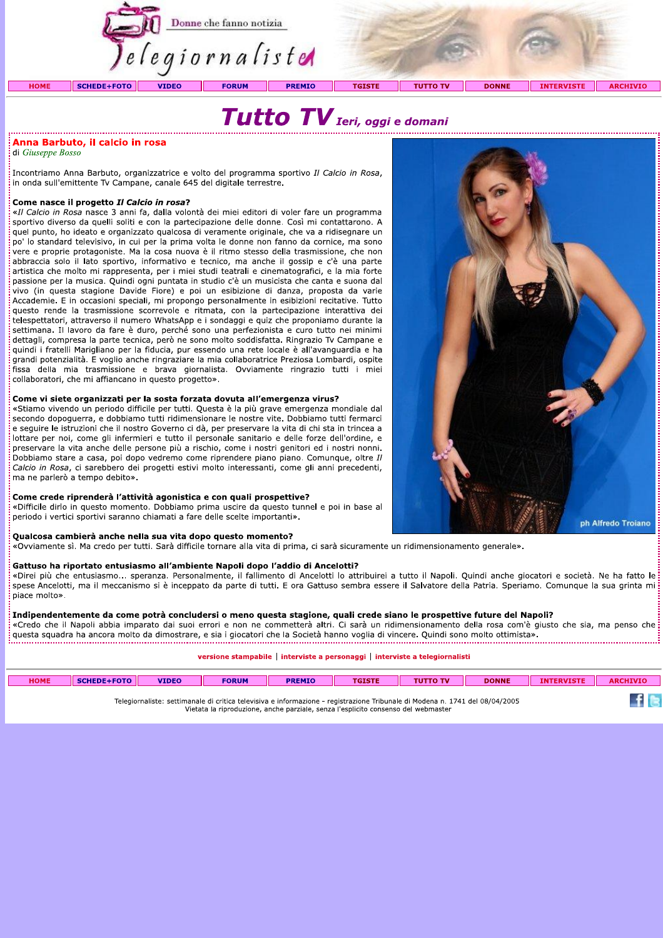

di Giuseppe Bosso

: Incontriamo Anna Barbuto, organizzatrice e volto del programma sportivo *Il Calcio in Rosa*,<br>: in onda sull'emittente Tv Campane, canale 645 del digitale terrestre.

**Anna Barbuto, il calcio in rosa**<br>
il Giuseppe Bosso<br>
Incontriamo Anna Barbuto, organizzatrice e volto del programma sportivo *Il Calcio in Rosa*,<br>
in onda sull'emittente Tv Campane, canale 645 del digitale terrestre.<br> **Co** vivo (in questa stagione Davide Fiore) e poi un esibizione di danza, proposta da varie Accademie. E in occasioni speciali, mi propongo personalmente in esibizioni recitative. Tutto questo rende la trasmissione scorrevole e ritmata, con la partecipazione interattiva dei telespettatori, attraverso il numero WhatsApp e i sondaggi e quiz che proponiamo durante la settimana. Il lavoro da fare è duro, perché sono una perfezionista e curo tutto nei minimi dettagli, compresa la parte tecnica, però ne sono molto soddisfatta. Ringrazio Tv Campane e quindi i fratelli Marigliano per la fiducia, pur essendo una rete locale è all'avanguardia e ha grandi potenzialità. E voglio anche ringraziare la mia collaboratrice Preziosa Lombardi, ospite fissa della mia trasmissione e brava giornalista. Ovviamente ringrazio tutti i miei<br>collaboratori, che-mi-affiancano-in-questo-progetto».

| <b>HOME</b>                                                                                                                  | SCHEDE+FOTO II | <b>VIDEO</b> | <b>FORUM</b> | <b>PREMIO</b> | <b>TGISTE</b> | <b>TUTTO TV</b> | <b>DONNE</b> | <b>INTERVISTE</b> | <b>ARCHIVIO</b> |
|------------------------------------------------------------------------------------------------------------------------------|----------------|--------------|--------------|---------------|---------------|-----------------|--------------|-------------------|-----------------|
| Telegiornaliste: settimanale di critica televisiva e informazione - registrazione Tribunale di Modena n. 1741 del 08/04/2005 |                |              |              |               |               |                 |              |                   |                 |

Telegiorhaliste: settimahale di critica televisiva e informazione - registrazione Tribunale di Modena n. 1741<br>Vietata la riproduzione, anche parziale, senza l'esplicito consenso del webmaster